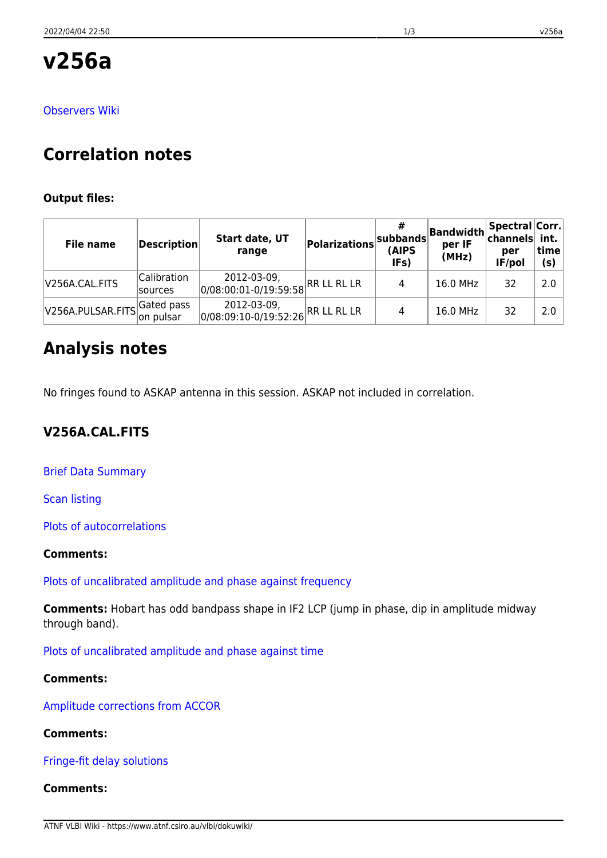**v256a**

## [Observers Wiki](http://www.atnf.csiro.au/vlbi/wiki/index.php?n=LBAMar2012.V256A)

# **Correlation notes**

## **Output files:**

| <b>File name</b>            | $\vert$ Description $\vert$   | Start date, UT<br>range                          | <b>Polarizations</b> | #<br>subbands<br>(AIPS<br>IF <sub>S</sub> ) | Bandwidth<br>per IF<br>(MHz) | Spectral Corr.<br>channels int.<br>per<br>IF/pol | time<br>(s) |
|-----------------------------|-------------------------------|--------------------------------------------------|----------------------|---------------------------------------------|------------------------------|--------------------------------------------------|-------------|
| V256A.CAL.FITS              | Calibration<br><b>sources</b> | 2012-03-09,<br>0/08:00:01-0/19:59:58 RR LL RL LR |                      | 4                                           | 16.0 MHz                     | 32                                               | 2.0         |
| V256A.PULSAR.FITSGated pass | on pulsar                     | 2012-03-09,<br>0/08:09:10-0/19:52:26 RR LL RL LR |                      | 4                                           | 16.0 MHz                     | 32                                               | 2.0         |

## **Analysis notes**

No fringes found to ASKAP antenna in this session. ASKAP not included in correlation.

## **V256A.CAL.FITS**

[Brief Data Summary](ftp://ftp.atnf.csiro.au/pub/people/vlbi/pipeline/v256a/v256a.DTSUM)

[Scan listing](ftp://ftp.atnf.csiro.au/pub/people/vlbi/pipeline/v256a/v256a.SCAN)

[Plots of autocorrelations](ftp://ftp.atnf.csiro.au/pub/people/vlbi/pipeline/v256a/v256a_POSSM_AUTOCORR.pdf)

## **Comments:**

[Plots of uncalibrated amplitude and phase against frequency](ftp://ftp.atnf.csiro.au/pub/people/vlbi/pipeline/v256a/v256a_POSSM_UNCAL.pdf)

**Comments:** Hobart has odd bandpass shape in IF2 LCP (jump in phase, dip in amplitude midway through band).

[Plots of uncalibrated amplitude and phase against time](ftp://ftp.atnf.csiro.au/pub/people/vlbi/pipeline/v256a/v256a_VPLOT_UNCAL.pdf)

## **Comments:**

[Amplitude corrections from ACCOR](ftp://ftp.atnf.csiro.au/pub/people/vlbi/pipeline/v256a/v256a_ACCOR.pdf)

## **Comments:**

[Fringe-fit delay solutions](ftp://ftp.atnf.csiro.au/pub/people/vlbi/pipeline/v256a/v256a_FRING_DELAY.pdf)

## **Comments:**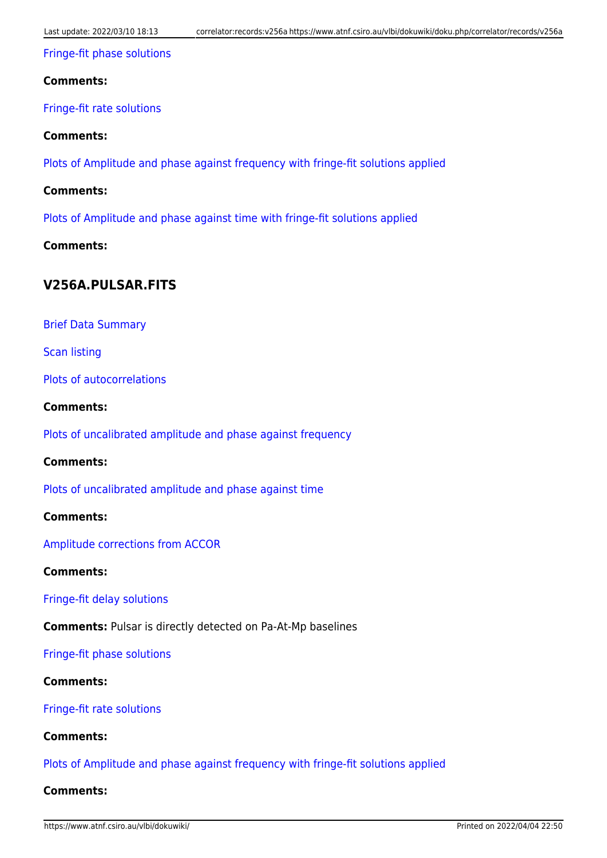#### [Fringe-fit phase solutions](ftp://ftp.atnf.csiro.au/pub/people/vlbi/pipeline/v256a/v256a_FRING_PHAS.pdf)

#### **Comments:**

[Fringe-fit rate solutions](ftp://ftp.atnf.csiro.au/pub/people/vlbi/pipeline/v256a/v256a_FRING_RATE.pdf)

#### **Comments:**

[Plots of Amplitude and phase against frequency with fringe-fit solutions applied](ftp://ftp.atnf.csiro.au/pub/people/vlbi/pipeline/v256a/v256a_POSSM_CAL.pdf)

#### **Comments:**

[Plots of Amplitude and phase against time with fringe-fit solutions applied](ftp://ftp.atnf.csiro.au/pub/people/vlbi/pipeline/v256a/v256a_VPLOT_CAL.pdf)

#### **Comments:**

## **V256A.PULSAR.FITS**

[Brief Data Summary](ftp://ftp.atnf.csiro.au/pub/people/vlbi/pipeline/v256a/v256a_psr.DTSUM)

[Scan listing](ftp://ftp.atnf.csiro.au/pub/people/vlbi/pipeline/v256a/v256a_psr.SCAN)

[Plots of autocorrelations](ftp://ftp.atnf.csiro.au/pub/people/vlbi/pipeline/v256a/v256a_psr_POSSM_AUTOCORR.pdf)

#### **Comments:**

[Plots of uncalibrated amplitude and phase against frequency](ftp://ftp.atnf.csiro.au/pub/people/vlbi/pipeline/v256a/v256a_psr_POSSM_UNCAL.pdf)

#### **Comments:**

[Plots of uncalibrated amplitude and phase against time](ftp://ftp.atnf.csiro.au/pub/people/vlbi/pipeline/v256a/v256a_psr_VPLOT_UNCAL.pdf)

#### **Comments:**

[Amplitude corrections from ACCOR](ftp://ftp.atnf.csiro.au/pub/people/vlbi/pipeline/v256a/v256a_psr_ACCOR.pdf)

#### **Comments:**

[Fringe-fit delay solutions](ftp://ftp.atnf.csiro.au/pub/people/vlbi/pipeline/v256a/v256a_psr_FRING_DELAY.pdf)

**Comments:** Pulsar is directly detected on Pa-At-Mp baselines

#### [Fringe-fit phase solutions](ftp://ftp.atnf.csiro.au/pub/people/vlbi/pipeline/v256a/v256a_psr_FRING_PHAS.pdf)

#### **Comments:**

[Fringe-fit rate solutions](ftp://ftp.atnf.csiro.au/pub/people/vlbi/pipeline/v256a/v256a_psr_FRING_RATE.pdf)

#### **Comments:**

[Plots of Amplitude and phase against frequency with fringe-fit solutions applied](ftp://ftp.atnf.csiro.au/pub/people/vlbi/pipeline/v256a/v256a_psr_POSSM_CAL.pdf)

#### **Comments:**